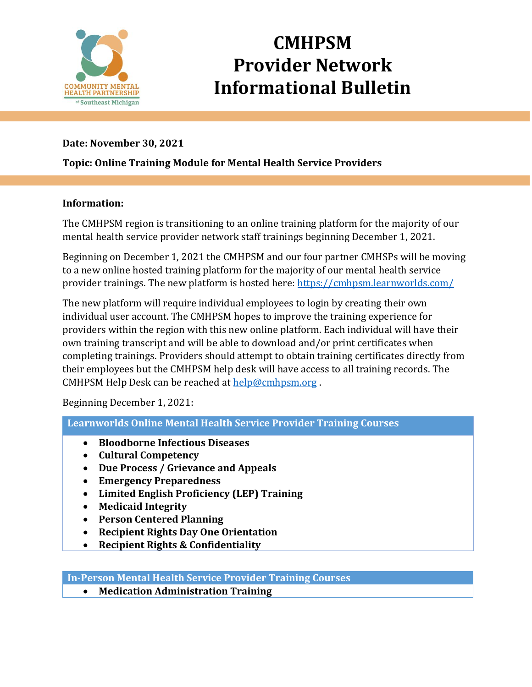

# **CMHPSM Provider Network Informational Bulletin**

### **Date: November 30, 2021**

### **Topic: Online Training Module for Mental Health Service Providers**

#### **Information:**

The CMHPSM region is transitioning to an online training platform for the majority of our mental health service provider network staff trainings beginning December 1, 2021.

Beginning on December 1, 2021 the CMHPSM and our four partner CMHSPs will be moving to a new online hosted training platform for the majority of our mental health service provider trainings. The new platform is hosted here:<https://cmhpsm.learnworlds.com/>

The new platform will require individual employees to login by creating their own individual user account. The CMHPSM hopes to improve the training experience for providers within the region with this new online platform. Each individual will have their own training transcript and will be able to download and/or print certificates when completing trainings. Providers should attempt to obtain training certificates directly from their employees but the CMHPSM help desk will have access to all training records. The CMHPSM Help Desk can be reached at [help@cmhpsm.org](mailto:help@cmhpsm.org) .

Beginning December 1, 2021:

**Learnworlds Online Mental Health Service Provider Training Courses**

- **Bloodborne Infectious Diseases**
- **Cultural Competency**
- **Due Process / Grievance and Appeals**
- **Emergency Preparedness**
- **Limited English Proficiency (LEP) Training**
- **Medicaid Integrity**
- **Person Centered Planning**
- **Recipient Rights Day One Orientation**
- **Recipient Rights & Confidentiality**

**In-Person Mental Health Service Provider Training Courses**

• **Medication Administration Training**